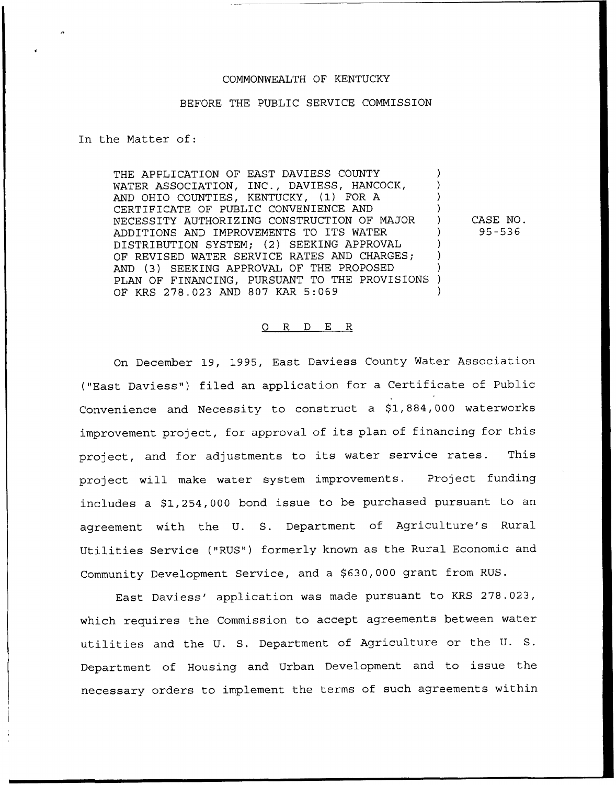# COMMONWEALTH OF KENTUCKY

## BEFORE THE PUBLIC SERVICE COMMISSION

In the Matter of:

THE APPLICATION OF EAST DAVIESS COUNTY WATER ASSOCIATION, INC., DAVIESS, HANCOCK, AND OHIO COUNTIES, KENTUCKY, (1) FOR A CERTIFICATE OF PUBLIC CONVENIENCE AND ) NECESSITY AUTHORIZING CONSTRUCTION OF MAJOR ) ADDITIONS AND IMPROVEMENTS TO ITS WATER DISTRIBUTION SYSTEM; (2) SEEKING APPROVAL ) OF REVISED WATER SERVICE RATES AND CHARGES; AND (3) SEEKING APPROVAL OF THE PROPOSED PLAN OF FINANCING, PURSUANT TO THE PROVISIONS ) OF KRS 278.023 AND 807 KAR 5:069 CASE NO. 95-536

## 0 R <sup>D</sup> E R

On December 19, 1995, East Daviess County Water Association ("East Daviess") filed an application for a Certificate of Public Convenience and Necessity to construct a \$1,884,000 waterworks improvement project, for approval of its plan of financing for this project, and for adjustments to its water service rates. This project will make water system improvements. Project funding includes a \$1,254,000 bond issue to be purchased pursuant to an agreement with the U. S. Department of Agriculture's Rural Utilities Service ("RUS") formerly known as the Rural Economic and Community Development Service, and a \$630,000 grant from RUS.

East Daviess' application was made pursuant to KRS 278.023, which requires the Commission to accept agreements between water utilities and the U. S. Department of Agriculture or the U. S. Department of Housing and Urban Development and to issue the necessary orders to implement the terms of such agreements within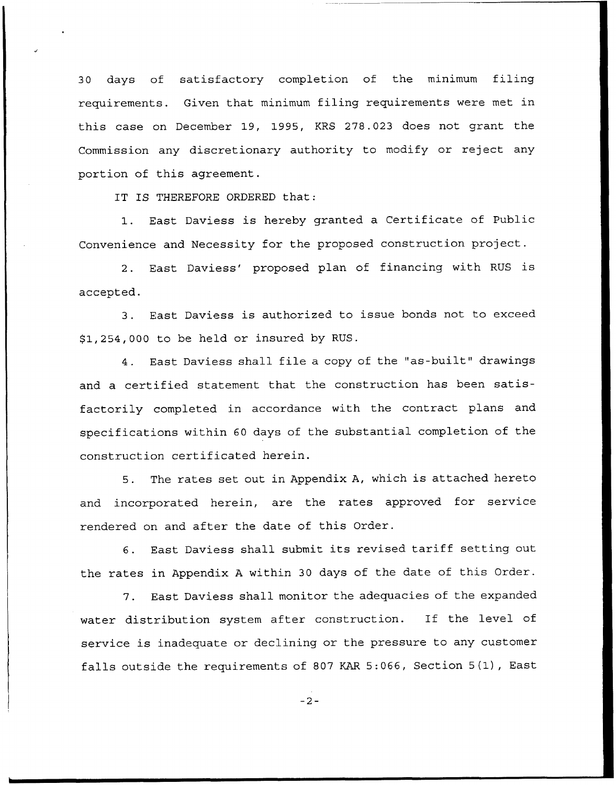30 days of satisfactory completion of the minimum filing requirements. Given that minimum filing requirements were met in this case on December 19, 1995, KRS 278.023 does not grant the Commission any discretionary authority to modify or reject any portion of this agreement.

IT IS THEREFORE ORDERED that:

1. East Daviess is hereby granted <sup>a</sup> Certificate of Public Convenience and Necessity for the proposed construction project.

2. East Daviess' proposed plan of financing with RUS is accepted.

3. East Daviess is authorized to issue bonds not to exceed \$ 1,254,000 to be held or insured by RUS.

4. East Daviess shall file <sup>a</sup> copy of the "as-built" drawings and a certified statement that the construction has been satisfactorily completed in accordance with the contract plans and specifications within 60 days of the substantial completion of the construction certificated herein.

5. The rates set out in Appendix A, which is attached hereto and incorporated herein, are the rates approved for service rendered on and after the date of this Order.

6. East Daviess shall submit its revised tariff setting out the rates in Appendix <sup>A</sup> within 30 days of the date of this Order.

7. East Daviess shall monitor the adequacies of the expanded water distribution system after construction. If the level of service is inadequate or declining or the pressure to any customer falls outside the requirements of <sup>807</sup> KAR 5:066, Section 5(1), East

 $-2-$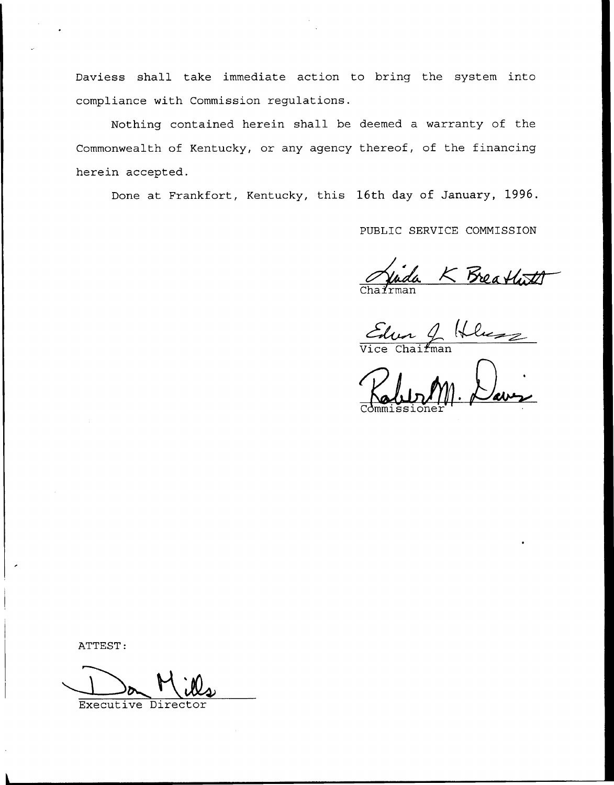Daviess shall take immediate action to bring the system into compliance with Commission regulations.

Nothing contained herein shall be deemed a warranty of the Commonwealth of Kentucky, or any agency thereof, of the financing herein accepted.

Done at Frankfort, Kentucky, this 16th day of January, 1996.

PUBLIC SERVICE COMMISSION

Vida K Breathath<br>Chairman Helmes

Commissione

ATTEST:

Executive Direc